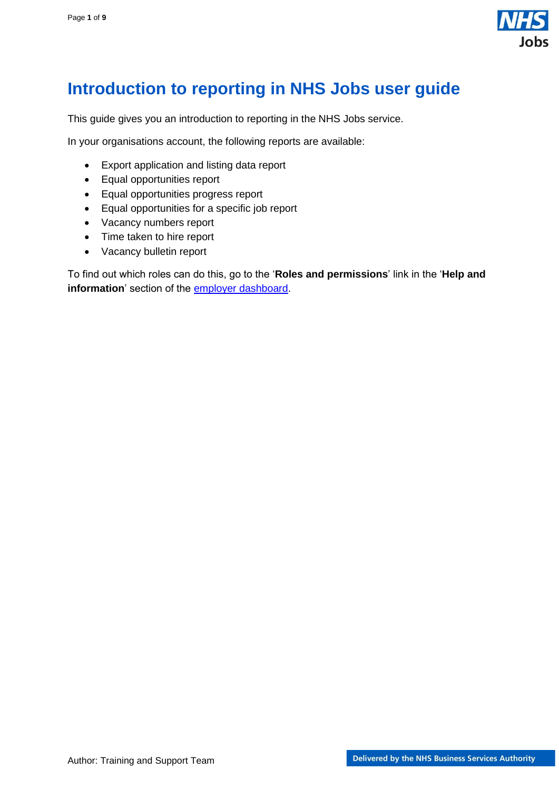

# <span id="page-0-0"></span>**Introduction to reporting in NHS Jobs user guide**

This guide gives you an introduction to reporting in the NHS Jobs service.

In your organisations account, the following reports are available:

- Export application and listing data report
- Equal opportunities report
- Equal opportunities progress report
- Equal opportunities for a specific job report
- Vacancy numbers report
- Time taken to hire report
- Vacancy bulletin report

To find out which roles can do this, go to the '**Roles and permissions**' link in the '**Help and**  information' section of the **employer dashboard**.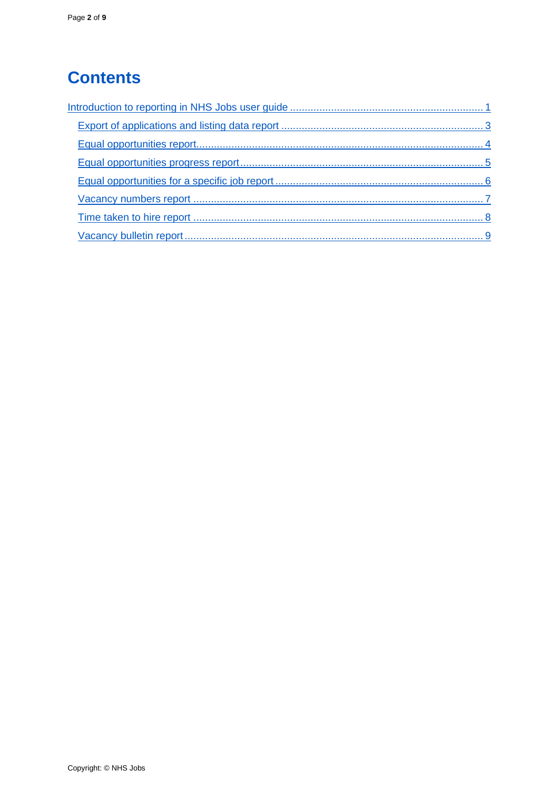# **Contents**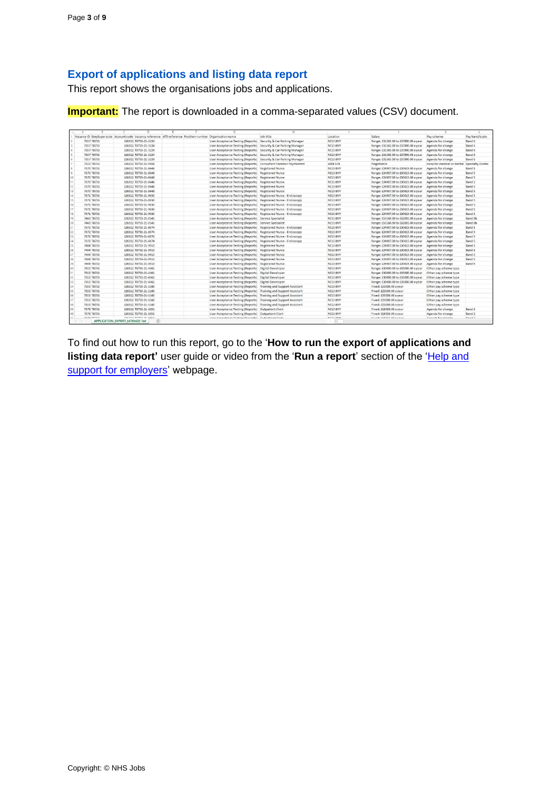# <span id="page-2-0"></span>**Export of applications and listing data report**

This report shows the organisations jobs and applications.

**Important:** The report is downloaded in a comma-separated values (CSV) document.

|                 |                                                                                                          |                                 | $\Omega$                   |  | G                                                                  | H                            |                                    |                                       |                                             |                |
|-----------------|----------------------------------------------------------------------------------------------------------|---------------------------------|----------------------------|--|--------------------------------------------------------------------|------------------------------|------------------------------------|---------------------------------------|---------------------------------------------|----------------|
|                 | Vacancy ID: Employer code Account code Vacancy reference ATS reference Position number Organisation name |                                 |                            |  |                                                                    | Job title                    | Location                           | Salary                                | Pay scheme                                  | Pay band/scale |
|                 | 7357 T8733                                                                                               |                                 | 126312 T8733-21-3224       |  | User Acceptance Testing (Reports) Security & Car Parking Manager   |                              | NE15 8NY                           | Range: £31365.00 to £37890.00 a year  | Agenda for change                           | Band 6         |
|                 | 7357 T8733                                                                                               |                                 | 126312 T8733-21-3224       |  | User Acceptance Testing (Reports) Security & Car Parking Manager   |                              | NE15 8NY                           | Range: £31365.00 to £37890.00 a year  | Agenda for change                           | Band 6         |
|                 | 7357 T8733                                                                                               |                                 | 126312 T8733-21-3224       |  | User Acceptance Testing (Reports) Security & Car Parking Manager   |                              | NE15 8NY                           | Range: £31365.00 to £37890.00 a year  | Agenda for change                           | Band 6         |
|                 | 7357 T8733                                                                                               |                                 | 126312 T8733-21-3224       |  | User Acceptance Testing (Reports) Security & Car Parking Manager   |                              | NE15 SNY                           | Range: £31365.00 to £37890.00 a year  | Agenda for change                           | Band 6         |
|                 | 7357 T8733                                                                                               |                                 | 126312 T8733-21-3224       |  | User Acceptance Testing (Reports) Security & Car Parking Manager   |                              | NE15 8NY                           | Range: £31365.00 to £37890.00 a year  | Agenda for change                           | Band 6         |
|                 | 7333 T8733                                                                                               |                                 | 126312 T8733-21-0958       |  | User Acceptance Testing (Reports) Consultant Forensic Psychiatrist |                              | WD6 LIN                            | Negotiable                            | Hospital medical or dental Specialty Doctor |                |
|                 | 7370 T8733                                                                                               |                                 | 126312 T8733-21-8648       |  | User Acceptance Testing (Reports) Registered Nurse                 |                              | NE15 BNY                           | Range: £24907.00 to £30615.00 a year  | Agenda for change                           | Band 5         |
|                 | 7370 T8733                                                                                               |                                 | 126312 T8733-21-8648       |  | User Acceptance Testing (Reports) Registered Nurse                 |                              | NE15 8NY                           | Range: £24907.00 to £30615.00 a year  | Agenda for change                           | Band 5         |
| 10              | 7370 T8733                                                                                               |                                 | 126312 T8733-21-8648       |  | User Acceptance Testing (Reports) Registered Nurse                 |                              | NE15 8NY                           | Range: £24907.00 to £30615.00 a year  | Agenda for change                           | Band 5         |
| 11              | 7370 T8733                                                                                               |                                 | 126312 T8733-21-8648       |  | User Acceptance Testing (Reports) Registered Nurse                 |                              | NE15 BNY                           | Range: £24907.00 to £30615.00 a year  | Agenda for change                           | Band 5         |
| 12              | 7370 T8733                                                                                               |                                 | 126312 T8733-21-8648       |  | User Acceptance Testing (Reports) Registered Nurse                 |                              | NF15 8NY                           | Range: £24907.00 to £30615.00 a year  | Agenda for change                           | Band 5         |
| 13              | 7370 T8733                                                                                               |                                 | 126312 T8733-21-8648       |  | User Acceptance Testing (Reports) Registered Nurse                 |                              | NE15 BNY                           | Range: £24907.00 to £30615.00 a year  | Agenda for change                           | Band 5         |
| 14              | 7371 T8733                                                                                               |                                 | 126312 T8733-21-9030       |  | User Acceptance Testing (Reports) Registered Nurse - Endoscopy     |                              | NE15 8NY                           | Range: £24907.00 to £30615.00 a year  | Agenda for change                           | Band 5         |
| 15              | 7371 T8733                                                                                               |                                 | 126312 T8733-21-9030       |  | User Acceptance Testing (Reports) Registered Nurse - Endoscopy     |                              | NE15 BNY                           | Range: £24907.00 to £30615.00 a year  | Agenda for change                           | Band 5         |
| 16 <sup>1</sup> | 7371 T8733                                                                                               |                                 | 126312 T8733-21-9030       |  | User Acceptance Testing (Reports) Registered Nurse - Endoscopy     |                              | NE15 8NY                           | Range: £24907.00 to £30615.00 a year  | Agenda for change                           | Band 5         |
| 17              | 7371 T8733                                                                                               |                                 | 126312 T8733-21-9030       |  | User Acceptance Testing (Reports) Registered Nurse - Endoscopy     |                              | NE15 8NY                           | Range: £24907.00 to £30615.00 a year  | Agenda for change                           | Band 5         |
| 18              | 7371 T8733                                                                                               |                                 | 126312 T8733-21-9030       |  | User Acceptance Testing (Reports) Registered Nurse - Endoscopy     |                              | NE15 BNY                           | Range: £24907.00 to £30615.00 a year  | Agenda for change                           | Band 5         |
| 19              | 7460 T8733                                                                                               |                                 | 126312 T8733-21-0141       |  | User Acceptance Testing (Reports) Service Specialist               |                              | NE15 8NY                           | Range: £53168.00 to £62001.00 a year  | Agenda for change                           | Band 8b        |
| 20              | 7460 T8733                                                                                               |                                 | 126312 T8733-21-0141       |  | User Acceptance Testing (Reports) Service Specialist               |                              | NE15 8NY                           | Range: £53168.00 to £62001.00 a year  | Agenda for change                           | Band 8b        |
| 21              | 7372 T8733                                                                                               |                                 | 126312 T8733-21-6074       |  | User Acceptance Testing (Reports) Registered Nurse - Endoscopy     |                              | NE15 BNY                           | Range: £24907.00 to £30615.00 a year  | Agenda for change                           | Band 5         |
| 22              | 7372 T8733                                                                                               |                                 | 126312 T8733-21-6074       |  | User Acceptance Testing (Reports) Registered Nurse - Endoscopy     |                              | NE15 8NY                           | Range: £24907.00 to £30615.00 a year  | Agenda for change                           | Band 5         |
| 23              | 7372 T8733                                                                                               |                                 | 126312 T8733-21-6074       |  | User Acceptance Testing (Reports)                                  | Registered Nurse - Endoscopy | NE15 BNY                           | Range: £24907.00 to £30615.00 a year  | Agenda for change                           | Band 5         |
| 24              | 7372 T8733                                                                                               |                                 | 126312 T8733-21-6074       |  | User Acceptance Testing (Reports) Registered Nurse - Endoscopy     |                              | NE15 SNY                           | Range: £24907.00 to £30615.00 a year  | Agenda for change                           | Band 5         |
| 25              | 7404 T8733                                                                                               |                                 | 126312 T8733-21-9910       |  | User Acceptance Testing (Reports) Registered Nurse                 |                              | NE15 8NY                           | Range: £24907.00 to £30615.00 a year  | Agenda for change                           | Band 5         |
| 26              | 7404 T8733                                                                                               |                                 | 126312 T8733-21-9910       |  | User Acceptance Testing (Reports) Registered Nurse                 |                              | NE15 8NY                           | Range: £24907.00 to £30615.00 a year. | Agenda for change                           | Band 5         |
| 27              | 7404 T8733                                                                                               |                                 | 126312 T8733-21-9910       |  | User Acceptance Testing (Reports) Registered Nurse                 |                              | NE15 8NY                           | Range: £24907.00 to £30615.00 a year  | Agenda for change                           | Band 5         |
| 28              | 7404 T8733                                                                                               |                                 | 126312 T8733-21-9910       |  | User Acceptance Testing (Reports) Registered Nurse                 |                              | NE15 8NY                           | Range: £24907.00 to £30615.00 a year  | Agenda for change                           | Band 5         |
| 29              | 7404 T8733                                                                                               |                                 | 126312 T8733-21-9910       |  | User Acceptance Testing (Reports) Registered Nurse                 |                              | NF15 8NY                           | Range: £24907.00 to £30615.00 a year  | Agenda for change                           | Band 5         |
| 30              | 7352 T8733                                                                                               |                                 | 126312 T8733-21-4361       |  | User Acceptance Testing (Reports) Digital Developer                |                              | NF15 SNY                           | Range: £30000.00 to £35000.00 a year  | Other pay scheme type                       |                |
| 31              | 7352 T8733                                                                                               |                                 | 126312 T8733-21-4361       |  | User Acceptance Testing (Reports) Digital Developer                |                              | NE15 BNY                           | Range: £30000.00 to £35000.00 a year  | Other pay scheme type                       |                |
| 32              | 7352 T8733                                                                                               |                                 | 126312 T8733-21-4361       |  | User Acceptance Testing (Reports) Digital Developer                |                              | <b>NE15 8NY</b>                    | Range: £30000.00 to £35000.00 a year  | Other pay scheme type                       |                |
| 33              | 7352 T8733                                                                                               |                                 | 126312 T8733-21-4361       |  | User Acceptance Testing (Reports) Digital Developer                |                              | NE15 BNY                           | Range: £30000.00 to £35000.00 a year  | Other pay scheme type                       |                |
| 34              | 7353 T8733                                                                                               |                                 | 126312 T8733-21-1160       |  | User Acceptance Testing (Reports) Training and Support Assistant   |                              | NE15 8NY                           | Fixed: £23000.00 a year               | Other pay scheme type                       |                |
| 35              | 7353 T8733                                                                                               |                                 | 126312 T8733-21-1160       |  | User Acceptance Testing (Reports) Training and Support Assistant   |                              | NE15 8NY                           | Fixed: £23000.00 a year               | Other pay scheme type                       |                |
| 36              | 7353 T8733                                                                                               |                                 | 126312 T8733-21-1160       |  | User Acceptance Testing (Reports) Training and Support Assistant   |                              | NE15 8NY                           | Fixed: £23000.00 a year               | Other pay scheme type                       |                |
| 37              | 7353 T8733                                                                                               |                                 | 126312 T8733-21-1160       |  | User Acceptance Testing (Reports) Training and Support Assistant   |                              | NE15 8NY                           | Fixed: £23000.00 a year               | Other pay scheme type                       |                |
| 38              | 7353 T8733                                                                                               |                                 | 126312 T8733-21-1160       |  | User Acceptance Testing (Reports) Training and Support Assistant   |                              | NE15 8NY                           | Fixed: £23000.00 a year               | Other pay scheme type                       |                |
| 39              | 7378 T8733                                                                                               |                                 | 126312 T8733-21-1051       |  | User Acceptance Testing (Reports) Outpatient Clerk                 |                              | NE15 BNY                           | Fixed: £18356.00 a year               | Agenda for change                           | Band 2         |
| 40              | 7378 T8733                                                                                               |                                 | 126312 T8733-21-1051       |  | User Acceptance Testing (Reports) Outpatient Clerk                 |                              | NE15 8NY                           | Fixed: £18356.00 a year               | Agenda for change                           | Band 2         |
|                 |                                                                                                          | APPLICATION EXPORT b610b620-1a4 | ERFATA WATER AS AREA<br>G) |  | Henn Annankanna Vastina (Rannata)  Automaticat Alash               |                              | AIRER RAILE<br>$\vert \cdot \vert$ | Floody FRANK AR ALLEAN                | Annuals Construction                        | $n = 4n$       |

To find out how to run this report, go to the '**How to run the export of applications and**  listing data report' user guide or video from the 'Run a report' section of the 'Help and [support for employers'](https://www.nhsbsa.nhs.uk/new-nhs-jobs-service/help-and-support-employers) webpage.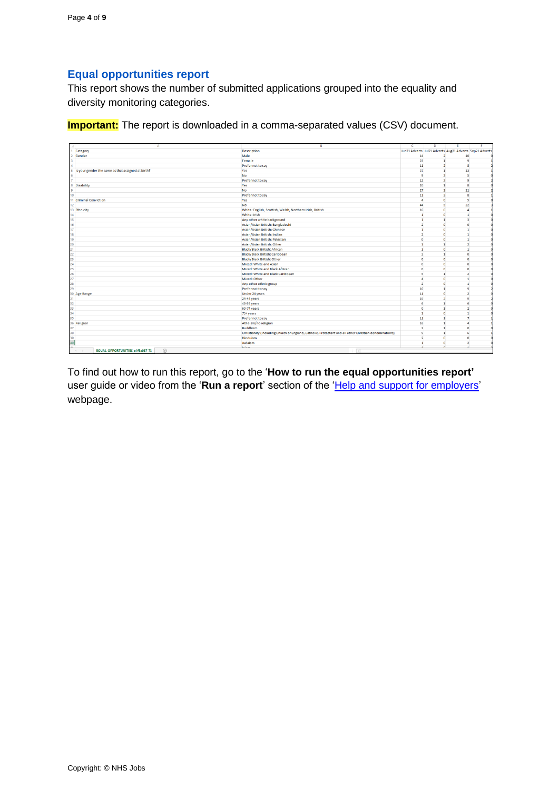### <span id="page-3-0"></span>**Equal opportunities report**

This report shows the number of submitted applications grouped into the equality and diversity monitoring categories.

**Important:** The report is downloaded in a comma-separated values (CSV) document.

| Jun21 Adverts Jul21 Adverts Aug21 Adverts Sep21 Adverts<br>Category<br><b>Description</b><br>Male<br>14<br>Gender<br>$\overline{2}$<br>10 <sup>°</sup><br>Female<br>23<br>$\mathbf{1}$<br>$\overline{9}$<br>11<br>$\overline{2}$<br>$\mathbf{8}$<br>Prefer not to say<br>Is your gender the same as that assigned at birth?<br>Yes<br>27<br>$\mathbf{1}$<br>13<br>$\overline{2}$<br>No<br>$\overline{9}$<br>5<br>Prefer not to say<br>12<br>$\overline{2}$<br>$\overline{9}$<br><b>Disability</b><br>10<br>$\mathbf{1}$<br>8<br>Yes<br><b>No</b><br>27<br>$\overline{2}$<br>11<br>۰<br>$\overline{2}$<br>11<br>8<br>10<br>Prefer not to say<br>11 Criminal Conviction<br>Yes<br>$\overline{a}$<br>$\bullet$<br>5<br>12<br>44<br>s<br>22<br>No<br>White: English, Scottish, Welsh, Northern Irish, British<br>16<br>$\bullet$<br>13 Ethnicity<br>$\overline{a}$<br>White: Irish<br>$\mathbf{1}$<br>$\bullet$<br>$\mathbf{1}$<br>14<br>Any other white background<br>$\mathbf{I}$<br>$\mathbf{1}$<br>$\overline{3}$<br>15 <sup>1</sup><br>$\overline{2}$<br>16 <sup>1</sup><br>Asian/Asian British: Bangladeshi<br>$\bullet$<br>$\mathbf{0}$<br>17 <sup>1</sup><br>Asian/Asian British: Chinese<br>$\mathbf{1}$<br>$\overline{0}$<br>$\mathbf{1}$<br>18<br>$\overline{2}$<br>Asian/Asian British: Indian<br>$\bullet$<br>$\mathbf{1}$<br>$\bullet$<br>19<br>Asian/Asian British: Pakistani<br>$\overline{0}$<br>$\mathbf{1}$<br>20 <sup>°</sup><br>Asian/Asian British: Other<br>$\mathbf{1}$<br>$\mathbf{1}$<br>$\overline{2}$<br>$\bullet$<br>21<br><b>Black/Black British: African</b><br>$\mathbf{1}$<br>$\mathbf{1}$<br>22<br>$\overline{2}$<br>Black/Black British: Caribbean<br>$\mathbf{1}$<br>$\bullet$<br>23<br><b>Black/Black British: Other</b><br>$\mathbf{0}$<br>$\mathbf{O}$<br>$\mathbf{0}$ | $\Delta$ | $\overline{B}$         | $\epsilon$   | D            | E | E            |
|-----------------------------------------------------------------------------------------------------------------------------------------------------------------------------------------------------------------------------------------------------------------------------------------------------------------------------------------------------------------------------------------------------------------------------------------------------------------------------------------------------------------------------------------------------------------------------------------------------------------------------------------------------------------------------------------------------------------------------------------------------------------------------------------------------------------------------------------------------------------------------------------------------------------------------------------------------------------------------------------------------------------------------------------------------------------------------------------------------------------------------------------------------------------------------------------------------------------------------------------------------------------------------------------------------------------------------------------------------------------------------------------------------------------------------------------------------------------------------------------------------------------------------------------------------------------------------------------------------------------------------------------------------------------------------------------------------------------------------------------------------------------------------------------------------------|----------|------------------------|--------------|--------------|---|--------------|
|                                                                                                                                                                                                                                                                                                                                                                                                                                                                                                                                                                                                                                                                                                                                                                                                                                                                                                                                                                                                                                                                                                                                                                                                                                                                                                                                                                                                                                                                                                                                                                                                                                                                                                                                                                                                           |          |                        |              |              |   |              |
|                                                                                                                                                                                                                                                                                                                                                                                                                                                                                                                                                                                                                                                                                                                                                                                                                                                                                                                                                                                                                                                                                                                                                                                                                                                                                                                                                                                                                                                                                                                                                                                                                                                                                                                                                                                                           |          |                        |              |              |   |              |
|                                                                                                                                                                                                                                                                                                                                                                                                                                                                                                                                                                                                                                                                                                                                                                                                                                                                                                                                                                                                                                                                                                                                                                                                                                                                                                                                                                                                                                                                                                                                                                                                                                                                                                                                                                                                           |          |                        |              |              |   |              |
|                                                                                                                                                                                                                                                                                                                                                                                                                                                                                                                                                                                                                                                                                                                                                                                                                                                                                                                                                                                                                                                                                                                                                                                                                                                                                                                                                                                                                                                                                                                                                                                                                                                                                                                                                                                                           |          |                        |              |              |   |              |
|                                                                                                                                                                                                                                                                                                                                                                                                                                                                                                                                                                                                                                                                                                                                                                                                                                                                                                                                                                                                                                                                                                                                                                                                                                                                                                                                                                                                                                                                                                                                                                                                                                                                                                                                                                                                           |          |                        |              |              |   |              |
|                                                                                                                                                                                                                                                                                                                                                                                                                                                                                                                                                                                                                                                                                                                                                                                                                                                                                                                                                                                                                                                                                                                                                                                                                                                                                                                                                                                                                                                                                                                                                                                                                                                                                                                                                                                                           |          |                        |              |              |   |              |
|                                                                                                                                                                                                                                                                                                                                                                                                                                                                                                                                                                                                                                                                                                                                                                                                                                                                                                                                                                                                                                                                                                                                                                                                                                                                                                                                                                                                                                                                                                                                                                                                                                                                                                                                                                                                           |          |                        |              |              |   |              |
|                                                                                                                                                                                                                                                                                                                                                                                                                                                                                                                                                                                                                                                                                                                                                                                                                                                                                                                                                                                                                                                                                                                                                                                                                                                                                                                                                                                                                                                                                                                                                                                                                                                                                                                                                                                                           |          |                        |              |              |   |              |
|                                                                                                                                                                                                                                                                                                                                                                                                                                                                                                                                                                                                                                                                                                                                                                                                                                                                                                                                                                                                                                                                                                                                                                                                                                                                                                                                                                                                                                                                                                                                                                                                                                                                                                                                                                                                           |          |                        |              |              |   |              |
|                                                                                                                                                                                                                                                                                                                                                                                                                                                                                                                                                                                                                                                                                                                                                                                                                                                                                                                                                                                                                                                                                                                                                                                                                                                                                                                                                                                                                                                                                                                                                                                                                                                                                                                                                                                                           |          |                        |              |              |   |              |
|                                                                                                                                                                                                                                                                                                                                                                                                                                                                                                                                                                                                                                                                                                                                                                                                                                                                                                                                                                                                                                                                                                                                                                                                                                                                                                                                                                                                                                                                                                                                                                                                                                                                                                                                                                                                           |          |                        |              |              |   |              |
|                                                                                                                                                                                                                                                                                                                                                                                                                                                                                                                                                                                                                                                                                                                                                                                                                                                                                                                                                                                                                                                                                                                                                                                                                                                                                                                                                                                                                                                                                                                                                                                                                                                                                                                                                                                                           |          |                        |              |              |   |              |
|                                                                                                                                                                                                                                                                                                                                                                                                                                                                                                                                                                                                                                                                                                                                                                                                                                                                                                                                                                                                                                                                                                                                                                                                                                                                                                                                                                                                                                                                                                                                                                                                                                                                                                                                                                                                           |          |                        |              |              |   |              |
|                                                                                                                                                                                                                                                                                                                                                                                                                                                                                                                                                                                                                                                                                                                                                                                                                                                                                                                                                                                                                                                                                                                                                                                                                                                                                                                                                                                                                                                                                                                                                                                                                                                                                                                                                                                                           |          |                        |              |              |   |              |
|                                                                                                                                                                                                                                                                                                                                                                                                                                                                                                                                                                                                                                                                                                                                                                                                                                                                                                                                                                                                                                                                                                                                                                                                                                                                                                                                                                                                                                                                                                                                                                                                                                                                                                                                                                                                           |          |                        |              |              |   |              |
|                                                                                                                                                                                                                                                                                                                                                                                                                                                                                                                                                                                                                                                                                                                                                                                                                                                                                                                                                                                                                                                                                                                                                                                                                                                                                                                                                                                                                                                                                                                                                                                                                                                                                                                                                                                                           |          |                        |              |              |   |              |
|                                                                                                                                                                                                                                                                                                                                                                                                                                                                                                                                                                                                                                                                                                                                                                                                                                                                                                                                                                                                                                                                                                                                                                                                                                                                                                                                                                                                                                                                                                                                                                                                                                                                                                                                                                                                           |          |                        |              |              |   |              |
|                                                                                                                                                                                                                                                                                                                                                                                                                                                                                                                                                                                                                                                                                                                                                                                                                                                                                                                                                                                                                                                                                                                                                                                                                                                                                                                                                                                                                                                                                                                                                                                                                                                                                                                                                                                                           |          |                        |              |              |   |              |
|                                                                                                                                                                                                                                                                                                                                                                                                                                                                                                                                                                                                                                                                                                                                                                                                                                                                                                                                                                                                                                                                                                                                                                                                                                                                                                                                                                                                                                                                                                                                                                                                                                                                                                                                                                                                           |          |                        |              |              |   |              |
|                                                                                                                                                                                                                                                                                                                                                                                                                                                                                                                                                                                                                                                                                                                                                                                                                                                                                                                                                                                                                                                                                                                                                                                                                                                                                                                                                                                                                                                                                                                                                                                                                                                                                                                                                                                                           |          |                        |              |              |   |              |
|                                                                                                                                                                                                                                                                                                                                                                                                                                                                                                                                                                                                                                                                                                                                                                                                                                                                                                                                                                                                                                                                                                                                                                                                                                                                                                                                                                                                                                                                                                                                                                                                                                                                                                                                                                                                           |          |                        |              |              |   |              |
|                                                                                                                                                                                                                                                                                                                                                                                                                                                                                                                                                                                                                                                                                                                                                                                                                                                                                                                                                                                                                                                                                                                                                                                                                                                                                                                                                                                                                                                                                                                                                                                                                                                                                                                                                                                                           |          |                        |              |              |   |              |
|                                                                                                                                                                                                                                                                                                                                                                                                                                                                                                                                                                                                                                                                                                                                                                                                                                                                                                                                                                                                                                                                                                                                                                                                                                                                                                                                                                                                                                                                                                                                                                                                                                                                                                                                                                                                           |          |                        |              |              |   |              |
|                                                                                                                                                                                                                                                                                                                                                                                                                                                                                                                                                                                                                                                                                                                                                                                                                                                                                                                                                                                                                                                                                                                                                                                                                                                                                                                                                                                                                                                                                                                                                                                                                                                                                                                                                                                                           | 24       | Mixed: White and Asian | $\mathbf{0}$ | $\mathbf{0}$ |   | $\mathbf{0}$ |
| 25<br>$\mathbf{0}$<br>$\mathbf{0}$<br>Mixed: White and Black African<br>$\mathbf{0}$                                                                                                                                                                                                                                                                                                                                                                                                                                                                                                                                                                                                                                                                                                                                                                                                                                                                                                                                                                                                                                                                                                                                                                                                                                                                                                                                                                                                                                                                                                                                                                                                                                                                                                                      |          |                        |              |              |   |              |
| 26<br>$\mathbf{s}$<br>$\overline{2}$<br>Mixed: White and Black Caribbean<br>$\mathbf{1}$                                                                                                                                                                                                                                                                                                                                                                                                                                                                                                                                                                                                                                                                                                                                                                                                                                                                                                                                                                                                                                                                                                                                                                                                                                                                                                                                                                                                                                                                                                                                                                                                                                                                                                                  |          |                        |              |              |   |              |
| 27<br>Mixed: Other<br>$\overline{a}$<br>$\mathbf{0}$<br>$\mathbf{1}$                                                                                                                                                                                                                                                                                                                                                                                                                                                                                                                                                                                                                                                                                                                                                                                                                                                                                                                                                                                                                                                                                                                                                                                                                                                                                                                                                                                                                                                                                                                                                                                                                                                                                                                                      |          |                        |              |              |   | r            |
| 28<br>Any other ethnic group<br>$\overline{2}$<br>$\mathbf{O}$<br>$\mathbf{1}$                                                                                                                                                                                                                                                                                                                                                                                                                                                                                                                                                                                                                                                                                                                                                                                                                                                                                                                                                                                                                                                                                                                                                                                                                                                                                                                                                                                                                                                                                                                                                                                                                                                                                                                            |          |                        |              |              |   |              |
| 10 <sup>10</sup><br>29<br>Prefer not to say<br>$\mathbf{1}$<br>$\overline{9}$                                                                                                                                                                                                                                                                                                                                                                                                                                                                                                                                                                                                                                                                                                                                                                                                                                                                                                                                                                                                                                                                                                                                                                                                                                                                                                                                                                                                                                                                                                                                                                                                                                                                                                                             |          |                        |              |              |   |              |
| $\overline{2}$<br>Under 24 years<br>11<br>$\bullet$<br>30 Age Range                                                                                                                                                                                                                                                                                                                                                                                                                                                                                                                                                                                                                                                                                                                                                                                                                                                                                                                                                                                                                                                                                                                                                                                                                                                                                                                                                                                                                                                                                                                                                                                                                                                                                                                                       |          |                        |              |              |   |              |
| 24-44 years<br>19<br>$\overline{2}$<br>$\overline{9}$<br>31                                                                                                                                                                                                                                                                                                                                                                                                                                                                                                                                                                                                                                                                                                                                                                                                                                                                                                                                                                                                                                                                                                                                                                                                                                                                                                                                                                                                                                                                                                                                                                                                                                                                                                                                               |          |                        |              |              |   |              |
| 32<br>45-59 years<br>6<br>$\mathbf{1}$<br>6                                                                                                                                                                                                                                                                                                                                                                                                                                                                                                                                                                                                                                                                                                                                                                                                                                                                                                                                                                                                                                                                                                                                                                                                                                                                                                                                                                                                                                                                                                                                                                                                                                                                                                                                                               |          |                        |              |              |   |              |
| $\bullet$<br>$\mathbf{1}$<br>33<br>$\overline{2}$<br>60-74 years                                                                                                                                                                                                                                                                                                                                                                                                                                                                                                                                                                                                                                                                                                                                                                                                                                                                                                                                                                                                                                                                                                                                                                                                                                                                                                                                                                                                                                                                                                                                                                                                                                                                                                                                          |          |                        |              |              |   |              |
| $\bullet$<br>34<br>$\mathbf{1}$<br>$\mathbf{1}$<br>75+ years                                                                                                                                                                                                                                                                                                                                                                                                                                                                                                                                                                                                                                                                                                                                                                                                                                                                                                                                                                                                                                                                                                                                                                                                                                                                                                                                                                                                                                                                                                                                                                                                                                                                                                                                              |          |                        |              |              |   |              |
| 35<br>11<br>$\overline{7}$<br>Prefer not to say<br>$\mathbf{1}$                                                                                                                                                                                                                                                                                                                                                                                                                                                                                                                                                                                                                                                                                                                                                                                                                                                                                                                                                                                                                                                                                                                                                                                                                                                                                                                                                                                                                                                                                                                                                                                                                                                                                                                                           |          |                        |              |              |   |              |
| 36 Religion<br>Atheism/no religion<br>16<br>$\mathbf{1}$<br>$\overline{a}$                                                                                                                                                                                                                                                                                                                                                                                                                                                                                                                                                                                                                                                                                                                                                                                                                                                                                                                                                                                                                                                                                                                                                                                                                                                                                                                                                                                                                                                                                                                                                                                                                                                                                                                                |          |                        |              |              |   |              |
| $\mathbf{1}$<br>$\overline{0}$<br>37<br>Buddhism<br>$\overline{2}$                                                                                                                                                                                                                                                                                                                                                                                                                                                                                                                                                                                                                                                                                                                                                                                                                                                                                                                                                                                                                                                                                                                                                                                                                                                                                                                                                                                                                                                                                                                                                                                                                                                                                                                                        |          |                        |              |              |   |              |
| 38<br>Christianity (including Church of England, Catholic, Protestant and all other Christian denominations)<br>9<br>$\mathbf{1}$<br>6                                                                                                                                                                                                                                                                                                                                                                                                                                                                                                                                                                                                                                                                                                                                                                                                                                                                                                                                                                                                                                                                                                                                                                                                                                                                                                                                                                                                                                                                                                                                                                                                                                                                    |          |                        |              |              |   |              |
| $\overline{2}$<br>0<br>39<br>Hinduism<br>$\bullet$                                                                                                                                                                                                                                                                                                                                                                                                                                                                                                                                                                                                                                                                                                                                                                                                                                                                                                                                                                                                                                                                                                                                                                                                                                                                                                                                                                                                                                                                                                                                                                                                                                                                                                                                                        |          |                        |              |              |   |              |
| 40 <sub>1</sub><br>$\mathbf{1}$<br>$\mathbf{O}$<br>$\overline{2}$<br>Judaism                                                                                                                                                                                                                                                                                                                                                                                                                                                                                                                                                                                                                                                                                                                                                                                                                                                                                                                                                                                                                                                                                                                                                                                                                                                                                                                                                                                                                                                                                                                                                                                                                                                                                                                              |          |                        |              |              |   |              |
| لمد<br><b>Labons</b><br>×.<br>$\sim$<br>×<br>$\circledast$<br><b>EQUAL OPPORTUNITIES e1f5a987-73</b><br>$\overline{4}$<br>$\sim$<br>$\rightarrow$                                                                                                                                                                                                                                                                                                                                                                                                                                                                                                                                                                                                                                                                                                                                                                                                                                                                                                                                                                                                                                                                                                                                                                                                                                                                                                                                                                                                                                                                                                                                                                                                                                                         |          |                        |              |              |   |              |

To find out how to run this report, go to the '**How to run the equal opportunities report'** user guide or video from the 'Run a report' section of the ['Help and support for employers'](https://www.nhsbsa.nhs.uk/new-nhs-jobs-service/help-and-support-employers) webpage.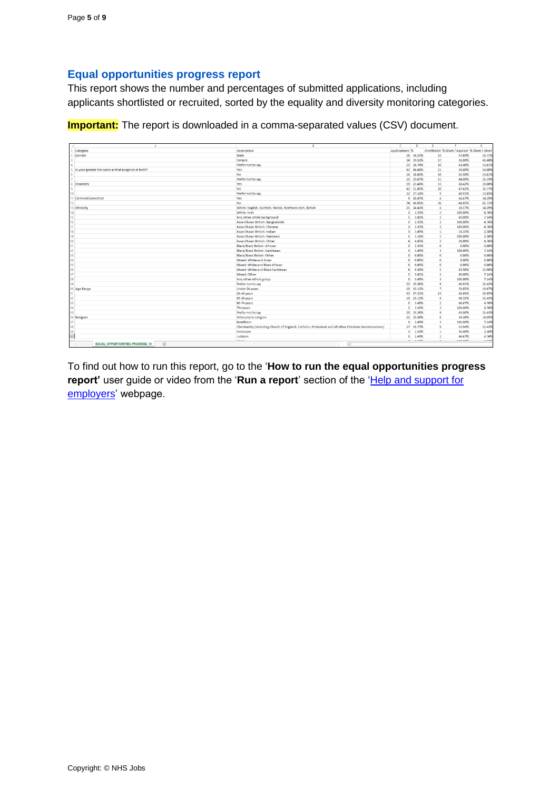#### <span id="page-4-0"></span>**Equal opportunities progress report**

This report shows the number and percentages of submitted applications, including applicants shortlisted or recruited, sorted by the equality and diversity monitoring categories.

**Important:** The report is downloaded in a comma-separated values (CSV) document.

| A                                                       |                                                                                                        | c                       | D             | F                       |                                               | G       |
|---------------------------------------------------------|--------------------------------------------------------------------------------------------------------|-------------------------|---------------|-------------------------|-----------------------------------------------|---------|
| Category                                                | <b>Description</b>                                                                                     | Applications %          |               |                         | Shortlisted % Short / Applied % Short / Short |         |
| Gender                                                  | Male                                                                                                   |                         | 26 30.23%     | 15                      | 57.69%                                        | 35.71%  |
|                                                         | Female                                                                                                 | 34                      | 39.53%        | 17                      | 50.00%                                        | 40.48%  |
|                                                         | Prefer not to say                                                                                      |                         | 23 26.74%     | 10                      | 43.48%                                        | 23.81%  |
| Is your gender the same as that assigned at birth?<br>5 | Yes                                                                                                    |                         | 42 48.84%     | 21                      | 50.00%                                        | 50,00%  |
|                                                         | <b>No</b>                                                                                              | 16                      | 18.60%        | 10                      | 62.50%                                        | 23.81%  |
|                                                         | Prefer not to say                                                                                      | 25                      | 29.07%        | 11                      | 44.00%                                        | 26.19%  |
| Disability<br>R                                         | Yes                                                                                                    |                         | 19 23,46%     | 13                      | 68.42%                                        | 20.00%  |
| ٥                                                       | <b>No</b>                                                                                              |                         | 42 51.85%     | 20                      | 47.62%                                        | 30,77%  |
| 10                                                      | Prefer not to say                                                                                      |                         | 22 27.16%     | 9                       | 40.91%                                        | 13.85%  |
| 11 Criminal Conviction                                  | Yes                                                                                                    |                         | 9 10.47%      | 6                       | 66.67%                                        | 14.29%  |
| 12                                                      | <b>No</b>                                                                                              |                         | 74 86.05%     | 36                      | 48.65%                                        | 85.71%  |
| 13 Ethnicity                                            | White: English, Scottish, Welsh, Northern Irish, British                                               |                         | 21 24.42%     | 6                       | 28.57%                                        | 14.29%  |
| 14                                                      | White: Irish                                                                                           | $\overline{2}$          | 2.33%         | $\overline{2}$          | 100.00%                                       | 4.76%   |
| 15 <sup>15</sup>                                        | Any other white background                                                                             | 5 <sup>1</sup>          | 5.81%         | $\overline{3}$          | 60.00%                                        | 7.14%   |
| 16 <sup>16</sup>                                        | Asian/Asian British: Bangladeshi                                                                       |                         | 2 2.33%       | $\overline{2}$          | 100.00%                                       | 4.76%   |
| 17                                                      | Asian/Asian British: Chinese                                                                           | $\overline{2}$          | 2.33%         | $\overline{2}$          | 100.00%                                       | 4.76%   |
| 18                                                      | Asian/Asian British: Indian                                                                            | $\overline{\mathbf{3}}$ | 3.49%         | $\mathbf{1}$            | 33.33%                                        | 2.38%   |
| 19                                                      | Asian/Asian British: Pakistani                                                                         | $\mathbf{1}$            | 1.16%         | $\mathbf{1}$            | 100.00%                                       | 2.38%   |
| 20                                                      | Asian/Asian British: Other                                                                             | $\overline{a}$          | 4.65%         | $\overline{2}$          | 50.00%                                        | 4.76%   |
| 21                                                      | <b>Black/Black British: African</b>                                                                    | $\overline{2}$          | 2.33%         | $\circ$                 | 0.00%                                         | 0.00%   |
| 22                                                      | Black/Black British: Caribbean                                                                         | $\overline{\mathbf{3}}$ | 3,49%         | $\overline{\mathbf{3}}$ | 100.00%                                       | 7.14%   |
| 23                                                      | <b>Black/Black British: Other</b>                                                                      | $\mathbf{O}$            | 0.00%         | $\Omega$                | 0.00%                                         | 0.00%   |
| 24                                                      | Mixed: White and Asian                                                                                 | $\bullet$               | 0.00%         | $\circ$                 | 0.00%                                         | 0.00%   |
| 25                                                      | Mixed: White and Black African                                                                         | $\mathbf{O}$            | 0.00%         | $\mathbf{0}$            | 0.00%                                         | 0.00%   |
| 26                                                      | Mixed: White and Black Caribbean                                                                       | R                       | 9,30%         | 5                       | 62.50%                                        | 11.90%  |
| 27                                                      | Mixed: Other                                                                                           |                         | 5 5.81%       | $\overline{\mathbf{3}}$ | 60.00%                                        | 7.14%   |
| 28                                                      | Any other ethnic group                                                                                 |                         | 3 3,49%       | $\mathbf{a}$            | 100.00%                                       | 7.14%   |
| 29                                                      | Prefer not to say                                                                                      |                         | 22 25.58%     | 9                       | 40.91%                                        | 21.43%  |
| 30 Age Range                                            | Under 24 years                                                                                         |                         | 13 15.12%     | $\overline{7}$          | 53.85%                                        | 16.67%  |
| 31                                                      | 24-44 years                                                                                            |                         | 32 37.21%     | 13                      | 40.63%                                        | 30.95%  |
| 32                                                      | 45-59 years                                                                                            |                         | 13 15.12%     | $\mathbf{q}$            | 69.23%                                        | 21,43%  |
| 33                                                      | 60-74 years                                                                                            | $\overline{\mathbf{3}}$ | 3.49%         | $\overline{2}$          | 66.67%                                        | 4.76%   |
| 34                                                      | 75+ years                                                                                              | $\overline{2}$          | 2.33%         | $\overline{2}$          | 100.00%                                       | 4.76%   |
| 35                                                      | Prefer not to say                                                                                      |                         | 20 23.26%     | 9                       | 45.00%                                        | 21,43%  |
| 36 Religion                                             | Atheism/no religion                                                                                    |                         | 22 25.58%     | $\mathbf{R}$            | 36.36%                                        | 19.05%  |
| 37                                                      | <b>Buddhism</b>                                                                                        | $\overline{\mathbf{3}}$ | 3.49%         | $\overline{\mathbf{3}}$ | 100.00%                                       | 7.14%   |
| 38                                                      | Christianity (including Church of England, Catholic, Protestant and all other Christian denominations) |                         | 17 19.77%     | $\ddot{q}$              | 52.94%                                        | 21.43%  |
| 39                                                      | Hinduism                                                                                               |                         | 2 2.33%       | $\mathbf{1}$            | 50.00%                                        | 2.38%   |
| 40                                                      | Judaism                                                                                                | R                       | 3.49%         | $\overline{2}$          | 66.67%                                        | 4.76%   |
| $\overline{a}$                                          | <b>And Alan</b>                                                                                        |                         | $A = A A A B$ | $\overline{a}$          | <b>ARR BAD</b>                                | A. medi |

To find out how to run this report, go to the '**How to run the equal opportunities progress**  report' user guide or video from the 'Run a report' section of the 'Help and support for [employers'](https://www.nhsbsa.nhs.uk/new-nhs-jobs-service/help-and-support-employers) webpage.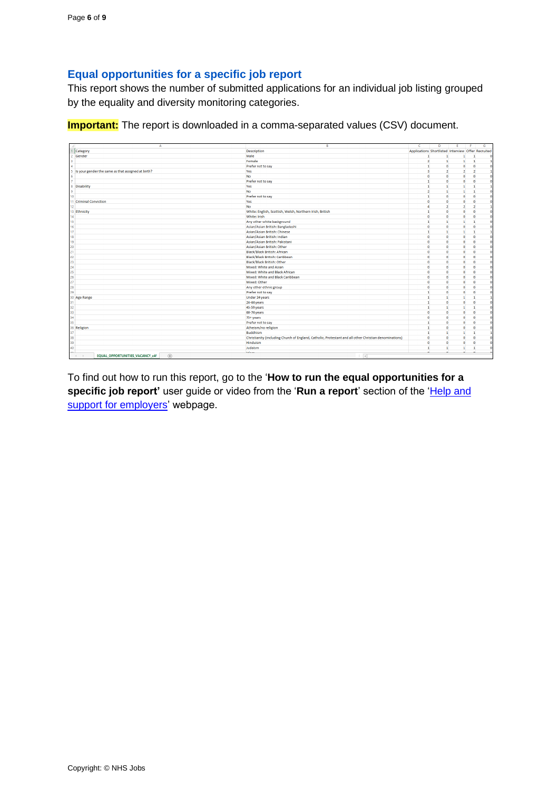# <span id="page-5-0"></span>**Equal opportunities for a specific job report**

This report shows the number of submitted applications for an individual job listing grouped by the equality and diversity monitoring categories.

**Important:** The report is downloaded in a comma-separated values (CSV) document.

| Δ                                                                  | $\mathbb{R}$                                                                                           | c                                                  | D              | E              |                | G                    |
|--------------------------------------------------------------------|--------------------------------------------------------------------------------------------------------|----------------------------------------------------|----------------|----------------|----------------|----------------------|
| Category                                                           | <b>Description</b>                                                                                     | Applications Shortlisted Interview Offer Recruited |                |                |                |                      |
| Gender                                                             | Male                                                                                                   | $\mathbf{1}$                                       | 1              | п              | $\mathbf{1}$   | $\sqrt{2}$           |
|                                                                    | Female                                                                                                 | $\overline{2}$                                     | $\mathbf{1}$   | $\mathbf{1}$   | $\mathbf{1}$   |                      |
|                                                                    | Prefer not to say                                                                                      | $\mathbf{1}$                                       | $\bullet$      | $\bullet$      | $\bullet$      | $\mathbf{0}$         |
| Is your gender the same as that assigned at birth?<br>5.           | Yes                                                                                                    | $\overline{\mathbf{3}}$                            | $\overline{2}$ | $\overline{2}$ | $\overline{2}$ | $\mathbf{1}$         |
|                                                                    | <b>No</b>                                                                                              | $\bullet$                                          | $\bullet$      | $\bullet$      | $\bullet$      | $\overline{0}$       |
|                                                                    | Prefer not to say                                                                                      | $\overline{1}$                                     | $\bullet$      | $\Omega$       | $\Omega$       | $\theta$             |
| Disability<br>8.                                                   | Yes                                                                                                    | $\mathbf{1}$                                       | $\mathbf{1}$   | $\mathbf{1}$   | -1             | $\mathbf{1}$         |
| 9                                                                  | <b>No</b>                                                                                              | $\overline{2}$                                     | $\mathbf{1}$   | 1              | $\mathbf{1}$   | $\overline{0}$       |
| 10 <sup>°</sup>                                                    | Prefer not to say                                                                                      | $\mathbf{1}$                                       | $\bullet$      | $\bullet$      | $\bullet$      | $\ddot{\phantom{0}}$ |
| 11 Criminal Conviction                                             | Yes                                                                                                    | $\Omega$                                           | $\bullet$      | $\mathbf 0$    | $\Omega$       | $\overline{0}$       |
| 12                                                                 | No                                                                                                     | $\lambda$                                          | $\overline{2}$ | $\overline{2}$ | $\overline{2}$ | $\mathbf{1}$         |
| 13 Ethnicity                                                       | White: English, Scottish, Welsh, Northern Irish, British                                               | $\mathbf{1}$                                       | $\bullet$      | $\mathbf{0}$   | $\bullet$      | $\overline{0}$       |
| 14 <sup>°</sup>                                                    | White: Irish                                                                                           | $\bullet$                                          | $\bullet$      | $\bullet$      | $\bullet$      | $\mathbf{0}$         |
| 15                                                                 | Any other white background                                                                             | n,                                                 | $\mathbf{1}$   | $\mathbf{1}$   | 1              | $\Omega$             |
| 16                                                                 | Asian/Asian British: Bangladeshi                                                                       | $\Omega$                                           | $\bullet$      | $\bullet$      | $\Omega$       | $\overline{0}$       |
| 17 <sup>2</sup>                                                    | Asian/Asian British: Chinese                                                                           | $\mathbf{1}$                                       | $\mathbf{1}$   | $\mathbf{1}$   | $\mathbf{1}$   | 1                    |
| 18                                                                 | Asian/Asian British: Indian                                                                            | $\bullet$                                          | $\bullet$      | $\bullet$      | $\bullet$      | $\Omega$             |
| 19                                                                 | Asian/Asian British: Pakistani                                                                         | $\sqrt{2}$                                         | $\bullet$      | $\mathbf{0}$   | $\mathbf{0}$   | $\overline{0}$       |
| 20                                                                 | Asian/Asian British: Other                                                                             | $\Omega$                                           | $\Omega$       | $\Omega$       | $\Omega$       | $\Omega$             |
| 21                                                                 | <b>Black/Black British: African</b>                                                                    | $\Omega$                                           | $\bullet$      | $\mathbf{0}$   | $\bullet$      | $\mathbf{0}$         |
| 22                                                                 | Black/Black British: Caribbean                                                                         | $\overline{0}$                                     | $\bullet$      | $\mathbf{0}$   | $\bullet$      | $\mathbf 0$          |
| 23                                                                 | <b>Black/Black British: Other</b>                                                                      | $\Omega$                                           | $\bullet$      | $\theta$       | $\Omega$       | $\Omega$             |
| 24                                                                 | Mixed: White and Asian                                                                                 | $\theta$                                           | $\bullet$      | $\Omega$       | $\bullet$      | $\Omega$             |
| 25                                                                 | Mixed: White and Black African                                                                         | $\Omega$                                           | $\bullet$      | $\bullet$      | $\bullet$      | $\Omega$             |
| 26                                                                 | Mixed: White and Black Caribbean                                                                       | $\Omega$                                           | $\bullet$      | $\mathbf{0}$   | $\Omega$       | $\overline{0}$       |
| 27                                                                 | Mixed: Other                                                                                           | $\Omega$                                           | $\bullet$      | $\mathbf 0$    | $\Omega$       | $\Omega$             |
| 28                                                                 | Any other ethnic group                                                                                 | $\Omega$                                           | $\bullet$      | $\Omega$       | $\bullet$      | $\Omega$             |
| 29                                                                 | Prefer not to say                                                                                      | $\mathbf{1}$                                       | $\bullet$      | $\mathbf{0}$   | $\mathbf{0}$   | $\overline{0}$       |
| 30 Age Range                                                       | Under 24 years                                                                                         | $\mathbf{1}$                                       | $\blacksquare$ | 1              | $\mathbf{1}$   | 1                    |
| 31                                                                 | 24-44 years                                                                                            | $\mathbf{1}$                                       | $\bullet$      | $\Omega$       | $\Omega$       | $\Omega$             |
| 32                                                                 | 45-59 years                                                                                            | n,                                                 | $\mathbf{1}$   | 1              | $\mathbf{1}$   | $\mathbf 0$          |
| 33                                                                 | 60-74 years                                                                                            | $\Omega$                                           | $\bullet$      | $\mathbf{0}$   | $\Omega$       | $\Omega$             |
| 34                                                                 | 75+ years                                                                                              | $\bullet$                                          | $\bullet$      | $\bullet$      | $\bullet$      | $\mathbf{0}$         |
| 35                                                                 | Prefer not to say                                                                                      | n,                                                 | $\bullet$      | $\Omega$       | $\Omega$       | $\Omega$             |
| 36 Religion                                                        | Atheism/no religion                                                                                    | n.                                                 | $\mathbf{0}$   | $\mathbf{0}$   | $\Omega$       | $\overline{0}$       |
| 37                                                                 | <b>Buddhism</b>                                                                                        | $\mathbf{1}$                                       | $\mathbf{1}$   | $\mathbf{1}$   | $\mathbf{1}$   | 1                    |
| 38                                                                 | Christianity (including Church of England, Catholic, Protestant and all other Christian denominations) | $\bullet$                                          | $\bullet$      | $\Omega$       | $\bullet$      | $\mathbf{0}$         |
| 39                                                                 | Hinduism                                                                                               | $\mathbf{0}$                                       | $\bullet$      | $\mathbf{0}$   | $\mathbf{0}$   | $\overline{0}$       |
| 40                                                                 | Judaism                                                                                                | $\mathbf{1}$                                       | 1              | 1              | $\mathbf{1}$   | $\bullet$            |
| as.<br>$(+)$<br><b>EQUAL OPPORTUNITIES VACANCY c4f</b><br>$A = -1$ | <b>Address</b><br>$\overline{A}$                                                                       | ۰                                                  | ×.             | ×              | $\sim$         |                      |

To find out how to run this report, go to the '**How to run the equal opportunities for a specific job report'** user guide or video from the 'Run a report' section of the 'Help and [support for employers'](https://www.nhsbsa.nhs.uk/new-nhs-jobs-service/help-and-support-employers) webpage.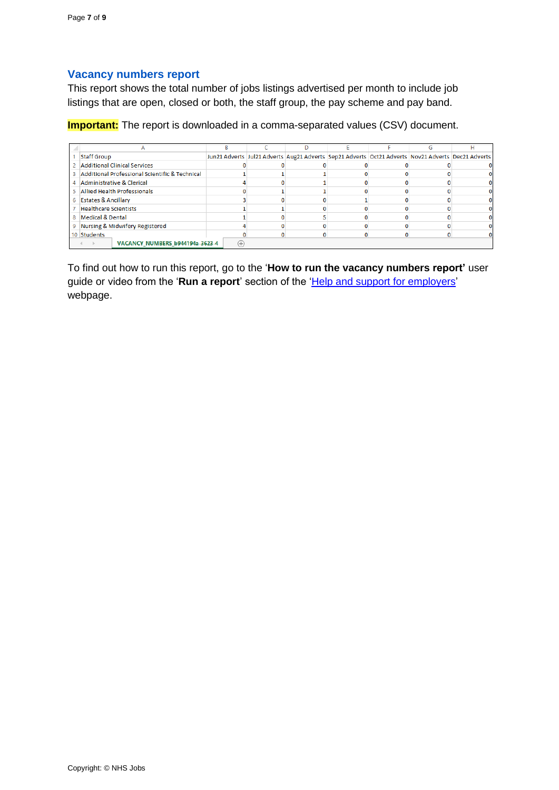## <span id="page-6-0"></span>**Vacancy numbers report**

This report shows the total number of jobs listings advertised per month to include job listings that are open, closed or both, the staff group, the pay scheme and pay band.

**Important:** The report is downloaded in a comma-separated values (CSV) document.

| <b>Staff Group</b>                               |          |  |  | Jun21 Adverts Jul21 Adverts Aug21 Adverts Sep21 Adverts Oct21 Adverts Nov21 Adverts Dec21 Adverts |
|--------------------------------------------------|----------|--|--|---------------------------------------------------------------------------------------------------|
| 2 Additional Clinical Services                   |          |  |  |                                                                                                   |
| 3 Additional Professional Scientific & Technical |          |  |  |                                                                                                   |
| 4 Administrative & Clerical                      |          |  |  |                                                                                                   |
| 5 Allied Health Professionals                    |          |  |  |                                                                                                   |
| 6 Estates & Ancillary                            |          |  |  |                                                                                                   |
| 7 Healthcare Scientists                          |          |  |  |                                                                                                   |
| 8 Medical & Dental                               |          |  |  |                                                                                                   |
| 9 Nursing & Midwifery Registered                 |          |  |  |                                                                                                   |
| 10 Students                                      |          |  |  |                                                                                                   |
| VACANCY NUMBERS b944194a-3623-4                  | $^{(+)}$ |  |  |                                                                                                   |

To find out how to run this report, go to the '**How to run the vacancy numbers report'** user guide or video from the 'Run a report' section of the 'Help and support for employers' webpage.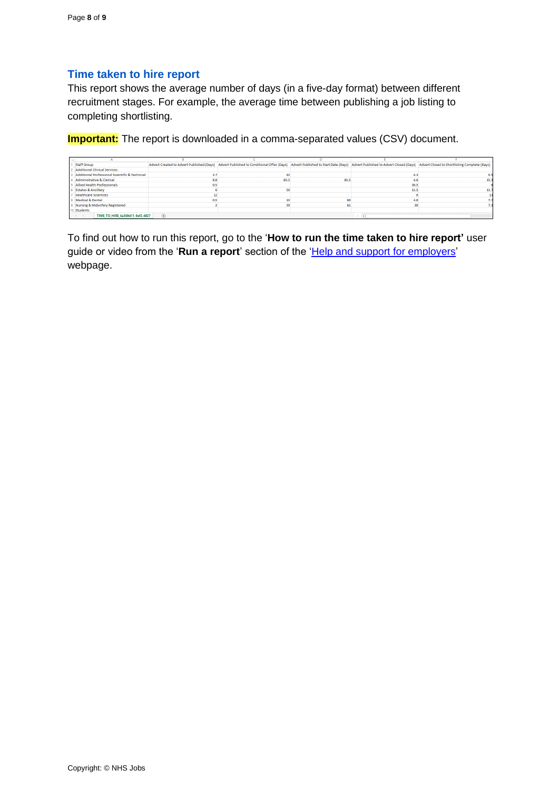#### <span id="page-7-0"></span>**Time taken to hire report**

This report shows the average number of days (in a five-day format) between different recruitment stages. For example, the average time between publishing a job listing to completing shortlisting.

**Important:** The report is downloaded in a comma-separated values (CSV) document.

| Staff Group                                    |                                 |     |      | Advert Created to Advert Published (Days) Advert Published to Conditional Offer (Days) Advert Published to Start Date (Days) Advert Published to Advert Closed (Days) Advert Closed (Days) Advert Closed to Shortlisting Compl |      |      |  |
|------------------------------------------------|---------------------------------|-----|------|--------------------------------------------------------------------------------------------------------------------------------------------------------------------------------------------------------------------------------|------|------|--|
| Additional Clinical Services                   |                                 |     |      |                                                                                                                                                                                                                                |      |      |  |
| Additional Professional Scientific & Technical |                                 |     |      |                                                                                                                                                                                                                                |      |      |  |
| <b>Administrative &amp; Clerical</b>           |                                 | 8.8 | 65.5 | 83.5                                                                                                                                                                                                                           |      | 15.3 |  |
| <b>Allied Health Professionals</b>             |                                 | 0.5 |      |                                                                                                                                                                                                                                | 30.5 |      |  |
| <b>Estates &amp; Ancillary</b>                 |                                 |     |      |                                                                                                                                                                                                                                | 15.5 |      |  |
| <b>Healthcare Scientists</b>                   |                                 |     |      |                                                                                                                                                                                                                                |      |      |  |
| 8 Medical & Dental                             |                                 |     |      |                                                                                                                                                                                                                                |      |      |  |
| 9 Nursing & Midwifery Registered               |                                 |     |      |                                                                                                                                                                                                                                |      |      |  |
| 10 Students                                    |                                 |     |      |                                                                                                                                                                                                                                |      |      |  |
| $-4$ $-1$                                      | TIME TO HIRE 6a369d11-9ef2-4827 | (4) |      |                                                                                                                                                                                                                                |      |      |  |

To find out how to run this report, go to the '**How to run the time taken to hire report'** user guide or video from the 'Run a report' section of the 'Help and support for employers' webpage.